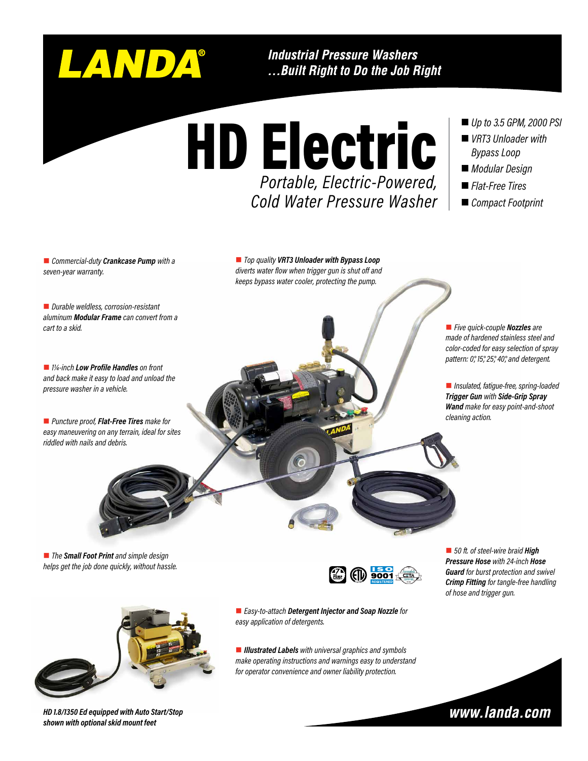

**Industrial Pressure Washers** ...Built Right to Do the Job Right

*Portable, Electric-Powered, Cold Water Pressure Washer* *Up to 3.5 GPM, 2000 PSI*

- *VRT3 Unloader with Bypass Loop*
- *Modular Design*
- *Flat-Free Tires*
- *Compact Footprint*

n *Commercial-duty Crankcase Pump with a seven-year warranty.*

■ *Top quality VRT3 Unloader with Bypass Loop diverts water flow when trigger gun is shut off and keeps bypass water cooler, protecting the pump.*

HD Electric

■ *Durable weldless, corrosion-resistant aluminum Modular Frame can convert from a cart to a skid.*

■ *1¼-inch Low Profile Handles* on front *and back make it easy to load and unload the pressure washer in a vehicle.*

■ *Puncture proof, Flat-Free Tires make for easy maneuvering on any terrain, ideal for sites riddled with nails and debris.*

■ *Five quick-couple Nozzles* are *made of hardened stainless steel and color-coded for easy selection of spray pattern: 0°, 15°, 25°, 40°, and detergent.*

n *Insulated, fatigue-free, spring-loaded Trigger Gun with Side-Grip Spray Wand make for easy point-and-shoot cleaning action.*

■ *The Small Foot Print and simple design helps get the job done quickly, without hassle.*



*HD 1.8/1350 Ed equipped with Auto Start/Stop shown with optional skid mount feet* 



■ 50 ft. of steel-wire braid **High** *Pressure Hose with 24-inch Hose Guard for burst protection and swivel Crimp Fitting for tangle-free handling of hose and trigger gun.*

**Easy-to-attach Detergent Injector and Soap Nozzle for** *easy application of detergents.*

■ *Illustrated Labels with universal graphics and symbols make operating instructions and warnings easy to understand for operator convenience and owner liability protection.*